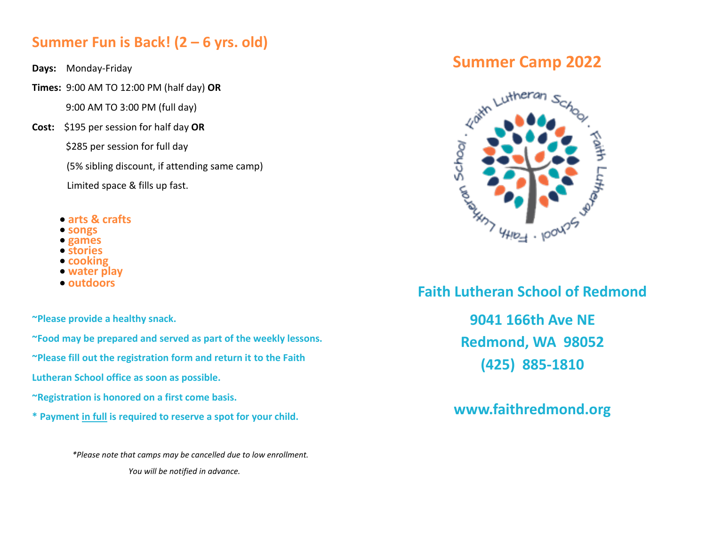### **Summer Fun is Back! (2 – 6 yrs. old)**

- **Days:** Monday-Friday
- **Times:** 9:00 AM TO 12:00 PM (half day) **OR**

9:00 AM TO 3:00 PM (full day)

**Cost:** \$195 per session for half day **OR**

\$285 per session for full day

(5% sibling discount, if attending same camp)

Limited space & fills up fast.

- **arts & crafts**
- **songs**
- **games**
- **stories**
- **cooking**
- **water play**
- **outdoors**

**~Please provide a healthy snack.**

**~Food may be prepared and served as part of the weekly lessons.**

**~Please fill out the registration form and return it to the Faith** 

**Lutheran School office as soon as possible.** 

**~Registration is honored on a first come basis.**

**\* Payment in full is required to reserve a spot for your child.**

 *\*Please note that camps may be cancelled due to low enrollment. You will be notified in advance.* 

## **Summer Camp 2022**



 **Faith Lutheran School of Redmond**

 **9041 166th Ave NE Redmond, WA 98052 (425) 885-1810**

 **www.faithredmond.org**